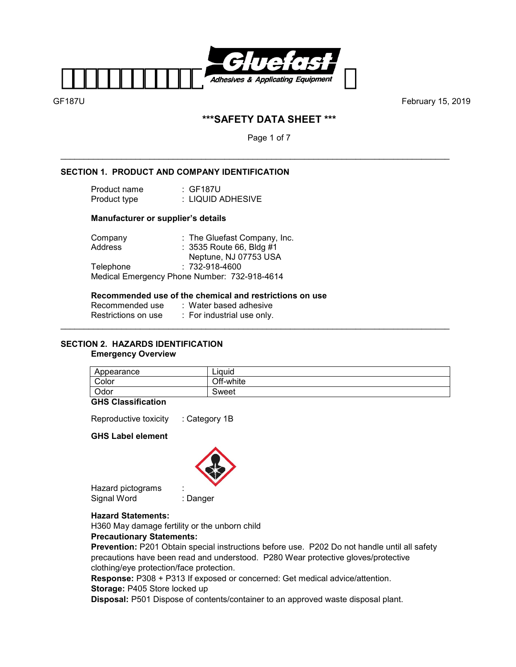

# **\*\*\*SAFETY DATA SHEET \*\*\***

Page 1 of 7

\_\_\_\_\_\_\_\_\_\_\_\_\_\_\_\_\_\_\_\_\_\_\_\_\_\_\_\_\_\_\_\_\_\_\_\_\_\_\_\_\_\_\_\_\_\_\_\_\_\_\_\_\_\_\_\_\_\_\_\_\_\_\_\_\_\_\_\_\_\_\_\_\_\_\_\_\_\_\_\_\_\_\_

### **SECTION 1. PRODUCT AND COMPANY IDENTIFICATION**

| Product name | :GF187U           |
|--------------|-------------------|
| Product type | : LIQUID ADHESIVE |

### **Manufacturer or supplier's details**

| Company   | : The Gluefast Company, Inc.                 |
|-----------|----------------------------------------------|
| Address   | : 3535 Route 66, Bldg #1                     |
|           | Neptune, NJ 07753 USA                        |
| Telephone | $: 732 - 918 - 4600$                         |
|           | Medical Emergency Phone Number: 732-918-4614 |

### **Recommended use of the chemical and restrictions on use**

| Recommended use     | :Water based adhesive      |
|---------------------|----------------------------|
| Restrictions on use | : For industrial use only. |
|                     |                            |

# **SECTION 2. HAZARDS IDENTIFICATION**

### **Emergency Overview**

| Appearance | Liauid    |
|------------|-----------|
| Color      | Off-white |
| Odor       | Sweet     |

### **GHS Classification**

Reproductive toxicity : Category 1B

### **GHS Label element**



Hazard pictograms : Signal Word : Danger

### **Hazard Statements:**

H360 May damage fertility or the unborn child

# **Precautionary Statements:**

**Prevention:** P201 Obtain special instructions before use. P202 Do not handle until all safety precautions have been read and understood. P280 Wear protective gloves/protective clothing/eye protection/face protection.

**Response:** P308 + P313 If exposed or concerned: Get medical advice/attention.

### **Storage:** P405 Store locked up

**Disposal:** P501 Dispose of contents/container to an approved waste disposal plant.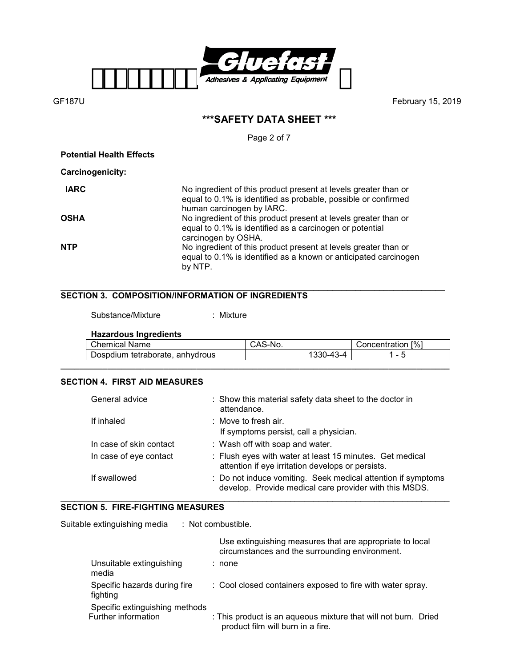

# **\*\*\*SAFETY DATA SHEET \*\*\***

Page 2 of 7

**Potential Health Effects** 

**Carcinogenicity:** 

| <b>IARC</b> | No ingredient of this product present at levels greater than or<br>equal to 0.1% is identified as probable, possible or confirmed<br>human carcinogen by IARC. |
|-------------|----------------------------------------------------------------------------------------------------------------------------------------------------------------|
| <b>OSHA</b> | No ingredient of this product present at levels greater than or<br>equal to 0.1% is identified as a carcinogen or potential<br>carcinogen by OSHA.             |
| <b>NTP</b>  | No ingredient of this product present at levels greater than or<br>equal to 0.1% is identified as a known or anticipated carcinogen<br>by NTP.                 |

### \_\_\_\_\_\_\_\_\_\_\_\_\_\_\_\_\_\_\_\_\_\_\_\_\_\_\_\_\_\_\_\_\_\_\_\_\_\_\_\_\_\_\_\_\_\_\_\_\_\_\_\_\_\_\_\_\_\_\_\_\_\_\_\_\_\_\_\_\_\_\_\_\_\_\_\_\_\_\_\_\_\_ **SECTION 3. COMPOSITION/INFORMATION OF INGREDIENTS**

Substance/Mixture : Mixture

# **Hazardous Ingredients**

| <b>Chemical Name</b>            | CAS-No.   | Concentration [%]        |
|---------------------------------|-----------|--------------------------|
| Dospdium tetraborate, anhydrous | 1330-43-4 | $\overline{\phantom{0}}$ |

**\_\_\_\_\_\_\_\_\_\_\_\_\_\_\_\_\_\_\_\_\_\_\_\_\_\_\_\_\_\_\_\_\_\_\_\_\_\_\_\_\_\_\_\_\_\_\_\_\_\_\_\_\_\_\_\_\_\_\_\_\_\_\_\_\_\_\_\_\_\_\_\_\_\_\_\_\_\_\_\_\_\_\_** 

# **SECTION 4. FIRST AID MEASURES**

| General advice          | : Show this material safety data sheet to the doctor in<br>attendance.                                                 |
|-------------------------|------------------------------------------------------------------------------------------------------------------------|
| If inhaled              | $\therefore$ Move to fresh air.                                                                                        |
|                         | If symptoms persist, call a physician.                                                                                 |
| In case of skin contact | : Wash off with soap and water.                                                                                        |
| In case of eye contact  | : Flush eyes with water at least 15 minutes. Get medical<br>attention if eye irritation develops or persists.          |
| If swallowed            | : Do not induce vomiting. Seek medical attention if symptoms<br>develop. Provide medical care provider with this MSDS. |

#### \_\_\_\_\_\_\_\_\_\_\_\_\_\_\_\_\_\_\_\_\_\_\_\_\_\_\_\_\_\_\_\_\_\_\_\_\_\_\_\_\_\_\_\_\_\_\_\_\_\_\_\_\_\_\_\_\_\_\_\_\_\_\_\_\_\_\_\_\_\_\_\_\_\_\_\_\_\_\_\_\_\_\_ **SECTION 5. FIRE-FIGHTING MEASURES**

Suitable extinguishing media : Not combustible.

|                                                       | Use extinguishing measures that are appropriate to local<br>circumstances and the surrounding environment. |
|-------------------------------------------------------|------------------------------------------------------------------------------------------------------------|
| Unsuitable extinguishing<br>media                     | : none                                                                                                     |
| Specific hazards during fire<br>fighting              | : Cool closed containers exposed to fire with water spray.                                                 |
| Specific extinguishing methods<br>Further information | : This product is an aqueous mixture that will not burn. Dried<br>product film will burn in a fire.        |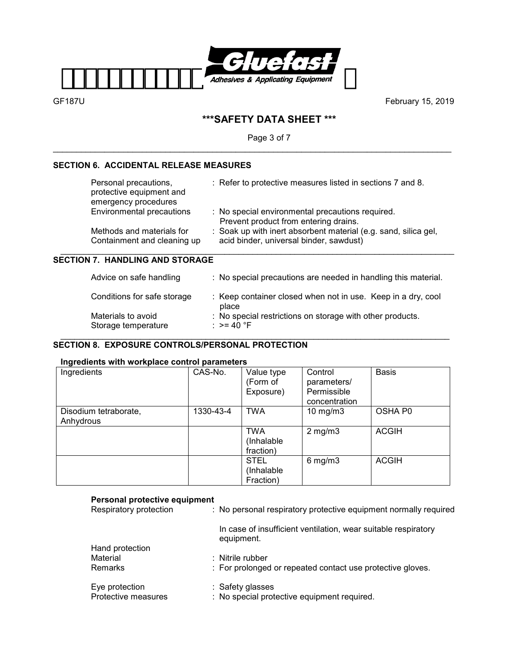

# **\*\*\*SAFETY DATA SHEET \*\*\***

Page 3 of 7

\_\_\_\_\_\_\_\_\_\_\_\_\_\_\_\_\_\_\_\_\_\_\_\_\_\_\_\_\_\_\_\_\_\_\_\_\_\_\_\_\_\_\_\_\_\_\_\_\_\_\_\_\_\_\_\_\_\_\_\_\_\_\_\_\_\_\_\_\_\_\_\_\_\_\_\_\_\_\_\_\_\_\_\_\_

# **SECTION 6. ACCIDENTAL RELEASE MEASURES**

| Personal precautions,<br>protective equipment and<br>emergency procedures | : Refer to protective measures listed in sections 7 and 8.                                                 |
|---------------------------------------------------------------------------|------------------------------------------------------------------------------------------------------------|
| Environmental precautions                                                 | : No special environmental precautions required.<br>Prevent product from entering drains.                  |
| Methods and materials for<br>Containment and cleaning up                  | : Soak up with inert absorbent material (e.g. sand, silica gel,<br>acid binder, universal binder, sawdust) |

### **SECTION 7. HANDLING AND STORAGE**

| Advice on safe handling                   | : No special precautions are needed in handling this material.             |
|-------------------------------------------|----------------------------------------------------------------------------|
| Conditions for safe storage               | : Keep container closed when not in use. Keep in a dry, cool<br>place      |
| Materials to avoid<br>Storage temperature | : No special restrictions on storage with other products.<br>: $> = 40$ °F |

### \_\_\_\_\_\_\_\_\_\_\_\_\_\_\_\_\_\_\_\_\_\_\_\_\_\_\_\_\_\_\_\_\_\_\_\_\_\_\_\_\_\_\_\_\_\_\_\_\_\_\_\_\_\_\_\_\_\_\_\_\_\_\_\_\_\_\_\_\_\_\_\_\_\_\_\_\_\_\_\_\_\_\_ **SECTION 8. EXPOSURE CONTROLS/PERSONAL PROTECTION**

## **Ingredients with workplace control parameters**

| Ingredients                        | CAS-No.   | Value type<br>(Form of<br>Exposure)    | Control<br>parameters/<br>Permissible<br>concentration | <b>Basis</b> |
|------------------------------------|-----------|----------------------------------------|--------------------------------------------------------|--------------|
| Disodium tetraborate,<br>Anhydrous | 1330-43-4 | <b>TWA</b>                             | 10 $mg/m3$                                             | OSHA P0      |
|                                    |           | <b>TWA</b><br>(Inhalable<br>fraction)  | $2$ mg/m $3$                                           | <b>ACGIH</b> |
|                                    |           | <b>STEL</b><br>(Inhalable<br>Fraction) | $6$ mg/m $3$                                           | <b>ACGIH</b> |

## **Personal protective equipment**

| . 0.00a. protootivo oguipinont<br>Respiratory protection | : No personal respiratory protective equipment normally required             |
|----------------------------------------------------------|------------------------------------------------------------------------------|
|                                                          | In case of insufficient ventilation, wear suitable respiratory<br>equipment. |
| Hand protection                                          |                                                                              |
| Material                                                 | $:$ Nitrile rubber                                                           |
| <b>Remarks</b>                                           | : For prolonged or repeated contact use protective gloves.                   |
| Eye protection                                           | : Safety glasses                                                             |
| Protective measures                                      | : No special protective equipment required.                                  |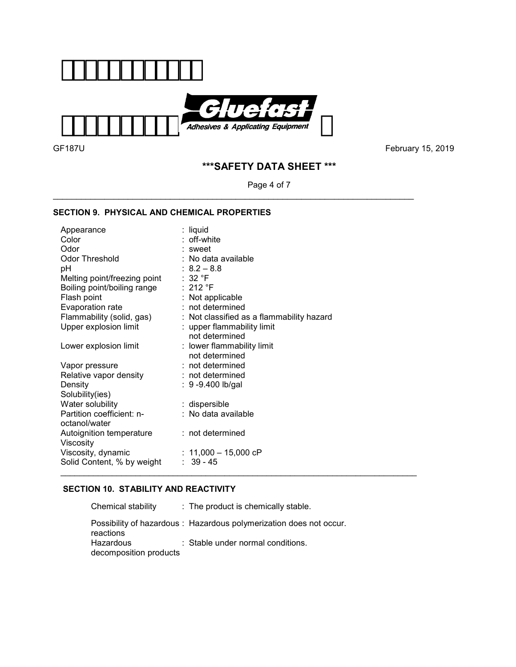

\_\_\_\_\_\_\_\_\_\_\_\_\_\_\_\_\_\_\_\_\_\_\_\_\_\_\_\_\_\_\_\_\_\_\_\_\_\_\_\_\_\_\_\_\_\_\_\_\_\_\_\_\_\_\_\_\_\_\_\_\_\_\_\_\_\_\_\_\_\_\_\_\_\_\_\_\_

GF187UFebruary 15, 2019

# **\*\*\*SAFETY DATA SHEET \*\*\***

Page 4 of 7

## **SECTION 9. PHYSICAL AND CHEMICAL PROPERTIES**

| Appearance                   | : liquid                                  |
|------------------------------|-------------------------------------------|
| Color                        | : off-white                               |
| Odor                         | : sweet                                   |
| <b>Odor Threshold</b>        | : No data available                       |
| рH                           | $: 8.2 - 8.8$                             |
| Melting point/freezing point | :32 °F                                    |
| Boiling point/boiling range  | :212 °F                                   |
| Flash point                  | : Not applicable                          |
| Evaporation rate             | $:$ not determined                        |
| Flammability (solid, gas)    | : Not classified as a flammability hazard |
| Upper explosion limit        | : upper flammability limit                |
|                              | not determined                            |
| Lower explosion limit        | : lower flammability limit                |
|                              | not determined                            |
| Vapor pressure               | : not determined                          |
| Relative vapor density       | $:$ not determined                        |
| Density                      | : $9 - 9.400$ lb/gal                      |
| Solubility(ies)              |                                           |
| Water solubility             | : dispersible                             |
| Partition coefficient: n-    | : No data available                       |
| octanol/water                |                                           |
| Autoignition temperature     | : not determined                          |
| Viscosity                    |                                           |
| Viscosity, dynamic           | : $11,000 - 15,000$ cP                    |
| Solid Content, % by weight   | $: 39 - 45$                               |

# **SECTION 10. STABILITY AND REACTIVITY**

| Chemical stability                  | : The product is chemically stable.                                |
|-------------------------------------|--------------------------------------------------------------------|
| reactions                           | Possibility of hazardous: Hazardous polymerization does not occur. |
| Hazardous<br>decomposition products | : Stable under normal conditions.                                  |

\_\_\_\_\_\_\_\_\_\_\_\_\_\_\_\_\_\_\_\_\_\_\_\_\_\_\_\_\_\_\_\_\_\_\_\_\_\_\_\_\_\_\_\_\_\_\_\_\_\_\_\_\_\_\_\_\_\_\_\_\_\_\_\_\_\_\_\_\_\_\_\_\_\_\_\_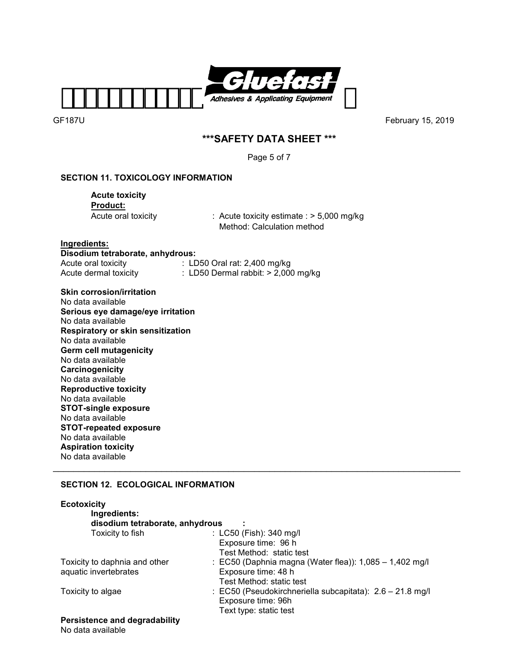

# **\*\*\*SAFETY DATA SHEET \*\*\***

Page 5 of 7

# **SECTION 11. TOXICOLOGY INFORMATION**

 **Acute toxicity Product:** 

Acute oral toxicity : Acute toxicity estimate : > 5,000 mg/kg Method: Calculation method

**Ingredients: Disodium tetraborate, anhydrous:** 

Acute oral toxicity : LD50 Oral rat: 2,400 mg/kg<br>Acute dermal toxicity : LD50 Dermal rabbit: > 2,000  $\therefore$  LD50 Dermal rabbit: > 2,000 mg/kg

**Skin corrosion/irritation** 

No data available **Serious eye damage/eye irritation**  No data available **Respiratory or skin sensitization**  No data available **Germ cell mutagenicity**  No data available **Carcinogenicity**  No data available **Reproductive toxicity**  No data available **STOT-single exposure**  No data available **STOT-repeated exposure**  No data available **Aspiration toxicity**  No data available

# **SECTION 12. ECOLOGICAL INFORMATION**

| <b>Ecotoxicity</b>                   |                                                           |  |  |  |  |  |
|--------------------------------------|-----------------------------------------------------------|--|--|--|--|--|
| Ingredients:                         |                                                           |  |  |  |  |  |
| disodium tetraborate, anhydrous      |                                                           |  |  |  |  |  |
| Toxicity to fish                     | : LC50 (Fish): 340 mg/l                                   |  |  |  |  |  |
|                                      | Exposure time: 96 h                                       |  |  |  |  |  |
|                                      | Test Method: static test                                  |  |  |  |  |  |
| Toxicity to daphnia and other        | : EC50 (Daphnia magna (Water flea)): $1,085 - 1,402$ mg/l |  |  |  |  |  |
| aquatic invertebrates                | Exposure time: 48 h                                       |  |  |  |  |  |
|                                      | Test Method: static test                                  |  |  |  |  |  |
| Toxicity to algae                    | : EC50 (Pseudokirchneriella subcapitata): 2.6 - 21.8 mg/l |  |  |  |  |  |
|                                      | Exposure time: 96h                                        |  |  |  |  |  |
|                                      | Text type: static test                                    |  |  |  |  |  |
| <b>Persistence and degradability</b> |                                                           |  |  |  |  |  |

\_\_\_\_\_\_\_\_\_\_\_\_\_\_\_\_\_\_\_\_\_\_\_\_\_\_\_\_\_\_\_\_\_\_\_\_\_\_\_\_\_\_\_\_\_\_\_\_\_\_\_\_\_\_\_\_\_\_\_\_\_\_\_\_\_\_\_\_\_\_\_\_\_\_\_\_\_\_\_

No data available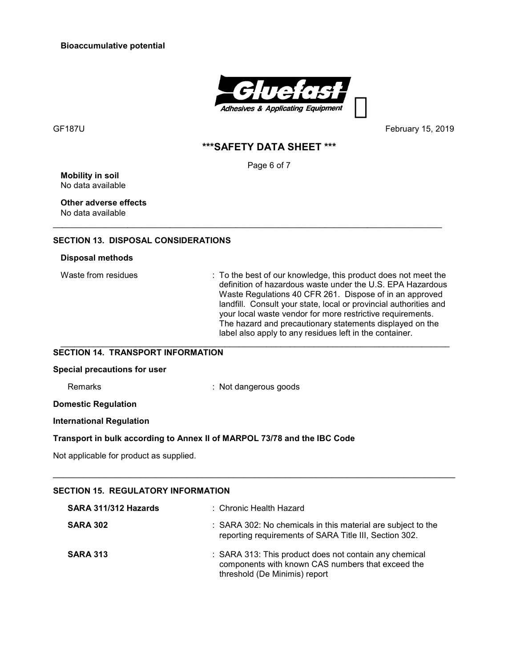**Bioaccumulative potential** 



GF187UFebruary 15, 2019

# **\*\*\*SAFETY DATA SHEET \*\*\***

Page 6 of 7

\_\_\_\_\_\_\_\_\_\_\_\_\_\_\_\_\_\_\_\_\_\_\_\_\_\_\_\_\_\_\_\_\_\_\_\_\_\_\_\_\_\_\_\_\_\_\_\_\_\_\_\_\_\_\_\_\_\_\_\_\_\_\_\_\_\_\_\_\_\_\_\_\_\_\_\_\_\_\_\_\_\_\_

**Mobility in soil** No data available

### **Other adverse effects**  No data available

### **SECTION 13. DISPOSAL CONSIDERATIONS**

### **Disposal methods**

Waste from residues : To the best of our knowledge, this product does not meet the definition of hazardous waste under the U.S. EPA Hazardous Waste Regulations 40 CFR 261. Dispose of in an approved landfill. Consult your state, local or provincial authorities and your local waste vendor for more restrictive requirements. The hazard and precautionary statements displayed on the label also apply to any residues left in the container. \_\_\_\_\_\_\_\_\_\_\_\_\_\_\_\_\_\_\_\_\_\_\_\_\_\_\_\_\_\_\_\_\_\_\_\_\_\_\_\_\_\_\_\_\_\_\_\_\_\_\_\_\_\_\_\_\_\_\_\_\_\_\_\_\_\_\_\_\_\_\_\_\_\_\_\_\_\_\_\_\_\_\_

### **SECTION 14. TRANSPORT INFORMATION**

#### **Special precautions for user**

Remarks : Not dangerous goods

**Domestic Regulation** 

### **International Regulation**

### **Transport in bulk according to Annex II of MARPOL 73/78 and the IBC Code**

Not applicable for product as supplied.

# **SECTION 15. REGULATORY INFORMATION**

| SARA 311/312 Hazards | : Chronic Health Hazard                                                                                                                      |
|----------------------|----------------------------------------------------------------------------------------------------------------------------------------------|
| <b>SARA 302</b>      | : SARA 302: No chemicals in this material are subject to the<br>reporting requirements of SARA Title III, Section 302.                       |
| <b>SARA 313</b>      | : SARA 313: This product does not contain any chemical<br>components with known CAS numbers that exceed the<br>threshold (De Minimis) report |

\_\_\_\_\_\_\_\_\_\_\_\_\_\_\_\_\_\_\_\_\_\_\_\_\_\_\_\_\_\_\_\_\_\_\_\_\_\_\_\_\_\_\_\_\_\_\_\_\_\_\_\_\_\_\_\_\_\_\_\_\_\_\_\_\_\_\_\_\_\_\_\_\_\_\_\_\_\_